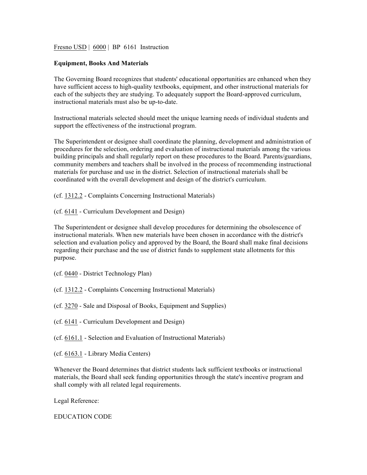Fresno USD | 6000 | BP 6161 Instruction

## **Equipment, Books And Materials**

The Governing Board recognizes that students' educational opportunities are enhanced when they have sufficient access to high-quality textbooks, equipment, and other instructional materials for each of the subjects they are studying. To adequately support the Board-approved curriculum, instructional materials must also be up-to-date.

Instructional materials selected should meet the unique learning needs of individual students and support the effectiveness of the instructional program.

The Superintendent or designee shall coordinate the planning, development and administration of procedures for the selection, ordering and evaluation of instructional materials among the various building principals and shall regularly report on these procedures to the Board. Parents/guardians, community members and teachers shall be involved in the process of recommending instructional materials for purchase and use in the district. Selection of instructional materials shall be coordinated with the overall development and design of the district's curriculum.

(cf. 1312.2 - Complaints Concerning Instructional Materials)

(cf. 6141 - Curriculum Development and Design)

The Superintendent or designee shall develop procedures for determining the obsolescence of instructional materials. When new materials have been chosen in accordance with the district's selection and evaluation policy and approved by the Board, the Board shall make final decisions regarding their purchase and the use of district funds to supplement state allotments for this purpose.

- (cf. 0440 District Technology Plan)
- (cf. 1312.2 Complaints Concerning Instructional Materials)

(cf. 3270 - Sale and Disposal of Books, Equipment and Supplies)

(cf. 6141 - Curriculum Development and Design)

(cf. 6161.1 - Selection and Evaluation of Instructional Materials)

(cf. 6163.1 - Library Media Centers)

Whenever the Board determines that district students lack sufficient textbooks or instructional materials, the Board shall seek funding opportunities through the state's incentive program and shall comply with all related legal requirements.

Legal Reference:

EDUCATION CODE